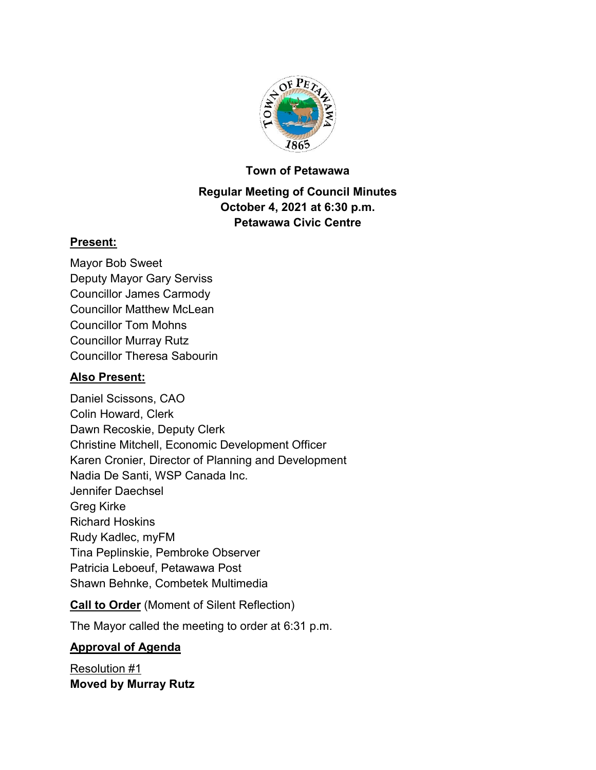

#### **Town of Petawawa**

### **Regular Meeting of Council Minutes October 4, 2021 at 6:30 p.m. Petawawa Civic Centre**

#### **Present:**

Mayor Bob Sweet Deputy Mayor Gary Serviss Councillor James Carmody Councillor Matthew McLean Councillor Tom Mohns Councillor Murray Rutz Councillor Theresa Sabourin

### **Also Present:**

Daniel Scissons, CAO Colin Howard, Clerk Dawn Recoskie, Deputy Clerk Christine Mitchell, Economic Development Officer Karen Cronier, Director of Planning and Development Nadia De Santi, WSP Canada Inc. Jennifer Daechsel Greg Kirke Richard Hoskins Rudy Kadlec, myFM Tina Peplinskie, Pembroke Observer Patricia Leboeuf, Petawawa Post Shawn Behnke, Combetek Multimedia

### **Call to Order** (Moment of Silent Reflection)

The Mayor called the meeting to order at 6:31 p.m.

### **Approval of Agenda**

Resolution #1 **Moved by Murray Rutz**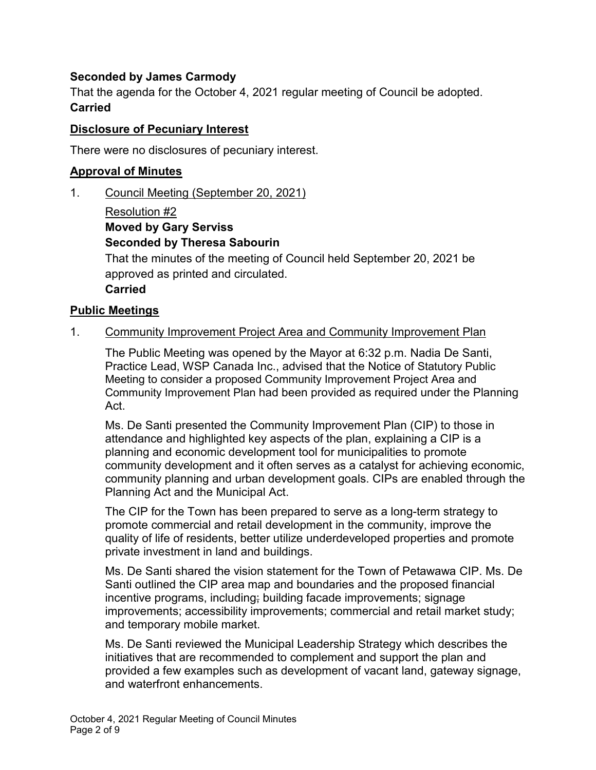### **Seconded by James Carmody**

That the agenda for the October 4, 2021 regular meeting of Council be adopted. **Carried**

#### **Disclosure of Pecuniary Interest**

There were no disclosures of pecuniary interest.

### **Approval of Minutes**

1. Council Meeting (September 20, 2021)

Resolution #2 **Moved by Gary Serviss Seconded by Theresa Sabourin** That the minutes of the meeting of Council held September 20, 2021 be approved as printed and circulated. **Carried**

#### **Public Meetings**

#### 1. Community Improvement Project Area and Community Improvement Plan

The Public Meeting was opened by the Mayor at 6:32 p.m. Nadia De Santi, Practice Lead, WSP Canada Inc., advised that the Notice of Statutory Public Meeting to consider a proposed Community Improvement Project Area and Community Improvement Plan had been provided as required under the Planning Act.

Ms. De Santi presented the Community Improvement Plan (CIP) to those in attendance and highlighted key aspects of the plan, explaining a CIP is a planning and economic development tool for municipalities to promote community development and it often serves as a catalyst for achieving economic, community planning and urban development goals. CIPs are enabled through the Planning Act and the Municipal Act.

The CIP for the Town has been prepared to serve as a long-term strategy to promote commercial and retail development in the community, improve the quality of life of residents, better utilize underdeveloped properties and promote private investment in land and buildings.

Ms. De Santi shared the vision statement for the Town of Petawawa CIP. Ms. De Santi outlined the CIP area map and boundaries and the proposed financial incentive programs, including; building facade improvements; signage improvements; accessibility improvements; commercial and retail market study; and temporary mobile market.

Ms. De Santi reviewed the Municipal Leadership Strategy which describes the initiatives that are recommended to complement and support the plan and provided a few examples such as development of vacant land, gateway signage, and waterfront enhancements.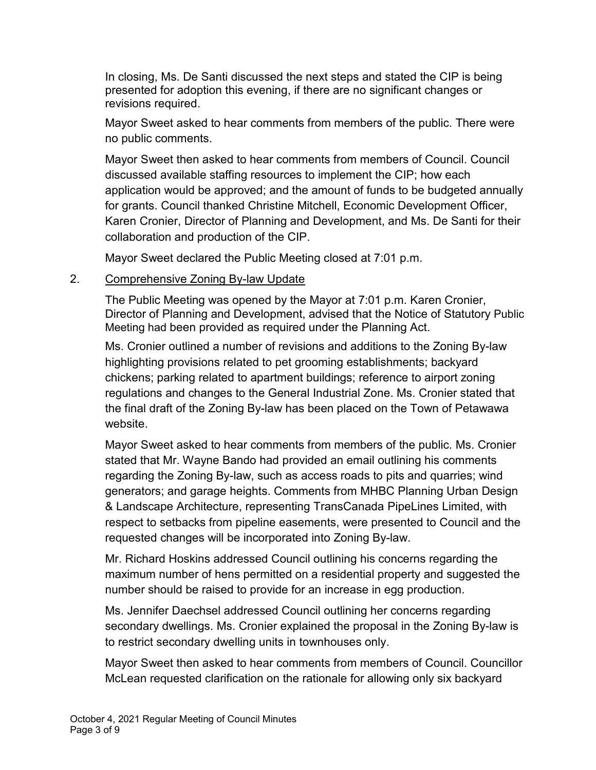In closing, Ms. De Santi discussed the next steps and stated the CIP is being presented for adoption this evening, if there are no significant changes or revisions required.

Mayor Sweet asked to hear comments from members of the public. There were no public comments.

Mayor Sweet then asked to hear comments from members of Council. Council discussed available staffing resources to implement the CIP; how each application would be approved; and the amount of funds to be budgeted annually for grants. Council thanked Christine Mitchell, Economic Development Officer, Karen Cronier, Director of Planning and Development, and Ms. De Santi for their collaboration and production of the CIP.

Mayor Sweet declared the Public Meeting closed at 7:01 p.m.

### 2. Comprehensive Zoning By-law Update

The Public Meeting was opened by the Mayor at 7:01 p.m. Karen Cronier, Director of Planning and Development, advised that the Notice of Statutory Public Meeting had been provided as required under the Planning Act.

Ms. Cronier outlined a number of revisions and additions to the Zoning By-law highlighting provisions related to pet grooming establishments; backyard chickens; parking related to apartment buildings; reference to airport zoning regulations and changes to the General Industrial Zone. Ms. Cronier stated that the final draft of the Zoning By-law has been placed on the Town of Petawawa website.

Mayor Sweet asked to hear comments from members of the public. Ms. Cronier stated that Mr. Wayne Bando had provided an email outlining his comments regarding the Zoning By-law, such as access roads to pits and quarries; wind generators; and garage heights. Comments from MHBC Planning Urban Design & Landscape Architecture, representing TransCanada PipeLines Limited, with respect to setbacks from pipeline easements, were presented to Council and the requested changes will be incorporated into Zoning By-law.

Mr. Richard Hoskins addressed Council outlining his concerns regarding the maximum number of hens permitted on a residential property and suggested the number should be raised to provide for an increase in egg production.

Ms. Jennifer Daechsel addressed Council outlining her concerns regarding secondary dwellings. Ms. Cronier explained the proposal in the Zoning By-law is to restrict secondary dwelling units in townhouses only.

Mayor Sweet then asked to hear comments from members of Council. Councillor McLean requested clarification on the rationale for allowing only six backyard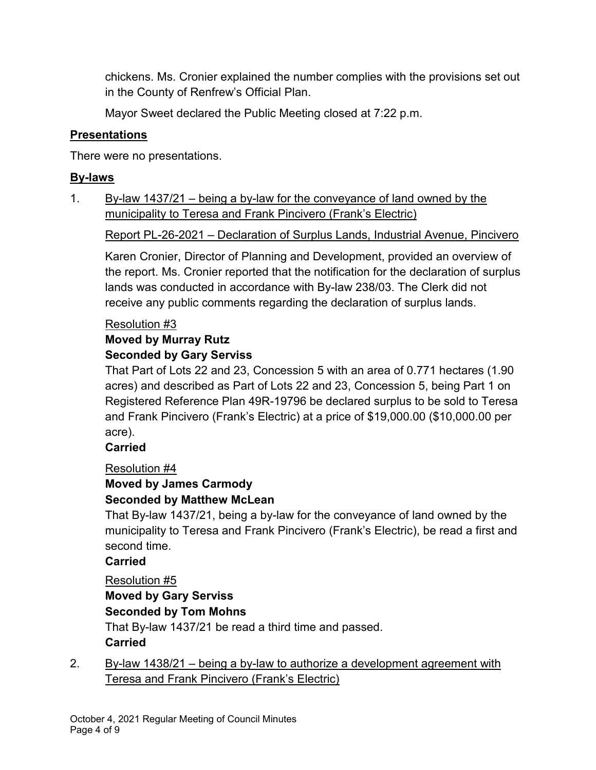chickens. Ms. Cronier explained the number complies with the provisions set out in the County of Renfrew's Official Plan.

Mayor Sweet declared the Public Meeting closed at 7:22 p.m.

### **Presentations**

There were no presentations.

### **By-laws**

1. By-law 1437/21 – being a by-law for the conveyance of land owned by the municipality to Teresa and Frank Pincivero (Frank's Electric)

Report PL-26-2021 – Declaration of Surplus Lands, Industrial Avenue, Pincivero

Karen Cronier, Director of Planning and Development, provided an overview of the report. Ms. Cronier reported that the notification for the declaration of surplus lands was conducted in accordance with By-law 238/03. The Clerk did not receive any public comments regarding the declaration of surplus lands.

### Resolution #3

# **Moved by Murray Rutz**

### **Seconded by Gary Serviss**

That Part of Lots 22 and 23, Concession 5 with an area of 0.771 hectares (1.90 acres) and described as Part of Lots 22 and 23, Concession 5, being Part 1 on Registered Reference Plan 49R-19796 be declared surplus to be sold to Teresa and Frank Pincivero (Frank's Electric) at a price of \$19,000.00 (\$10,000.00 per acre).

**Carried**

### Resolution #4

## **Moved by James Carmody**

### **Seconded by Matthew McLean**

That By-law 1437/21, being a by-law for the conveyance of land owned by the municipality to Teresa and Frank Pincivero (Frank's Electric), be read a first and second time.

### **Carried**

Resolution #5

### **Moved by Gary Serviss**

### **Seconded by Tom Mohns**

That By-law 1437/21 be read a third time and passed. **Carried**

2. By-law 1438/21 – being a by-law to authorize a development agreement with Teresa and Frank Pincivero (Frank's Electric)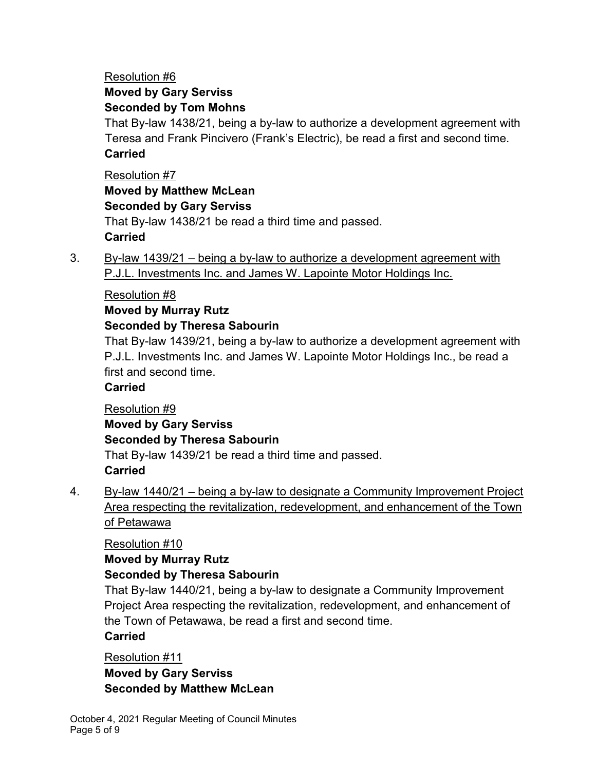### Resolution #6 **Moved by Gary Serviss Seconded by Tom Mohns**

That By-law 1438/21, being a by-law to authorize a development agreement with Teresa and Frank Pincivero (Frank's Electric), be read a first and second time. **Carried**

Resolution #7 **Moved by Matthew McLean Seconded by Gary Serviss** That By-law 1438/21 be read a third time and passed. **Carried**

3. By-law 1439/21 – being a by-law to authorize a development agreement with P.J.L. Investments Inc. and James W. Lapointe Motor Holdings Inc.

### Resolution #8

### **Moved by Murray Rutz**

### **Seconded by Theresa Sabourin**

That By-law 1439/21, being a by-law to authorize a development agreement with P.J.L. Investments Inc. and James W. Lapointe Motor Holdings Inc., be read a first and second time.

### **Carried**

### Resolution #9 **Moved by Gary Serviss Seconded by Theresa Sabourin**

That By-law 1439/21 be read a third time and passed. **Carried**

4. By-law 1440/21 – being a by-law to designate a Community Improvement Project Area respecting the revitalization, redevelopment, and enhancement of the Town of Petawawa

Resolution #10

### **Moved by Murray Rutz**

### **Seconded by Theresa Sabourin**

That By-law 1440/21, being a by-law to designate a Community Improvement Project Area respecting the revitalization, redevelopment, and enhancement of the Town of Petawawa, be read a first and second time.

### **Carried**

Resolution #11

**Moved by Gary Serviss Seconded by Matthew McLean**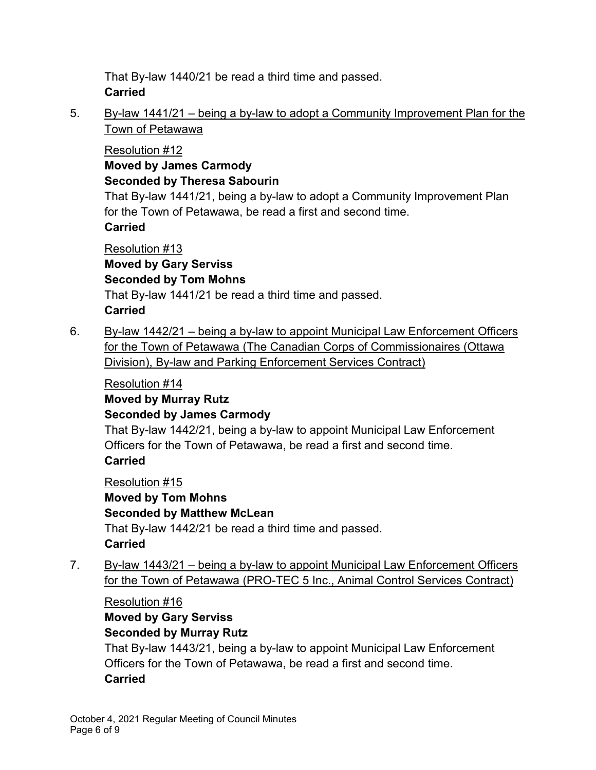That By-law 1440/21 be read a third time and passed. **Carried**

5. By-law 1441/21 – being a by-law to adopt a Community Improvement Plan for the Town of Petawawa

### Resolution #12

**Moved by James Carmody Seconded by Theresa Sabourin**

That By-law 1441/21, being a by-law to adopt a Community Improvement Plan for the Town of Petawawa, be read a first and second time.

### **Carried**

Resolution #13 **Moved by Gary Serviss Seconded by Tom Mohns**

That By-law 1441/21 be read a third time and passed. **Carried**

6. By-law 1442/21 – being a by-law to appoint Municipal Law Enforcement Officers for the Town of Petawawa (The Canadian Corps of Commissionaires (Ottawa Division), By-law and Parking Enforcement Services Contract)

Resolution #14 **Moved by Murray Rutz Seconded by James Carmody**

That By-law 1442/21, being a by-law to appoint Municipal Law Enforcement Officers for the Town of Petawawa, be read a first and second time. **Carried**

Resolution #15 **Moved by Tom Mohns Seconded by Matthew McLean** That By-law 1442/21 be read a third time and passed. **Carried**

7. By-law 1443/21 – being a by-law to appoint Municipal Law Enforcement Officers for the Town of Petawawa (PRO-TEC 5 Inc., Animal Control Services Contract)

### Resolution #16 **Moved by Gary Serviss Seconded by Murray Rutz**

That By-law 1443/21, being a by-law to appoint Municipal Law Enforcement Officers for the Town of Petawawa, be read a first and second time. **Carried**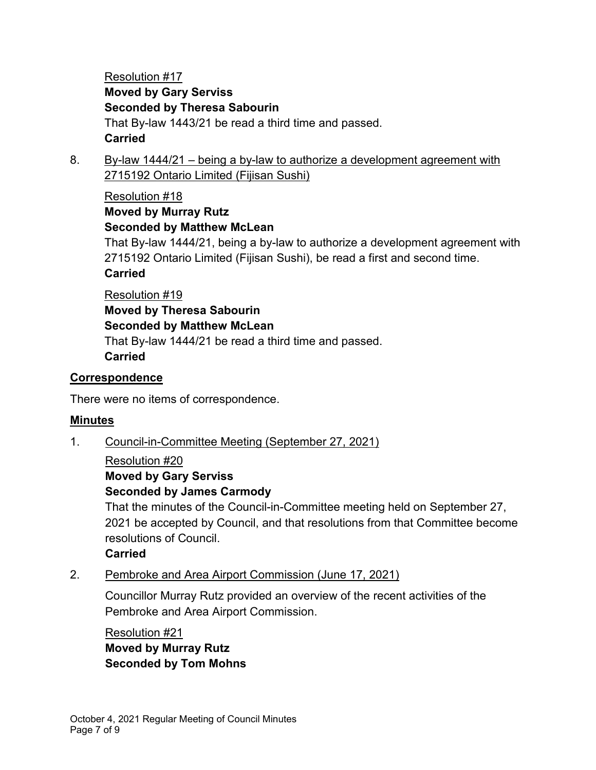Resolution #17 **Moved by Gary Serviss Seconded by Theresa Sabourin** That By-law 1443/21 be read a third time and passed. **Carried**

8. By-law 1444/21 – being a by-law to authorize a development agreement with 2715192 Ontario Limited (Fijisan Sushi)

Resolution #18 **Moved by Murray Rutz Seconded by Matthew McLean**

That By-law 1444/21, being a by-law to authorize a development agreement with 2715192 Ontario Limited (Fijisan Sushi), be read a first and second time. **Carried**

### Resolution #19

**Moved by Theresa Sabourin**

### **Seconded by Matthew McLean**

That By-law 1444/21 be read a third time and passed. **Carried**

### **Correspondence**

There were no items of correspondence.

### **Minutes**

- 1. Council-in-Committee Meeting (September 27, 2021)
	- Resolution #20

**Moved by Gary Serviss**

### **Seconded by James Carmody**

That the minutes of the Council-in-Committee meeting held on September 27, 2021 be accepted by Council, and that resolutions from that Committee become resolutions of Council.

**Carried**

2. Pembroke and Area Airport Commission (June 17, 2021)

Councillor Murray Rutz provided an overview of the recent activities of the Pembroke and Area Airport Commission.

Resolution #21 **Moved by Murray Rutz Seconded by Tom Mohns**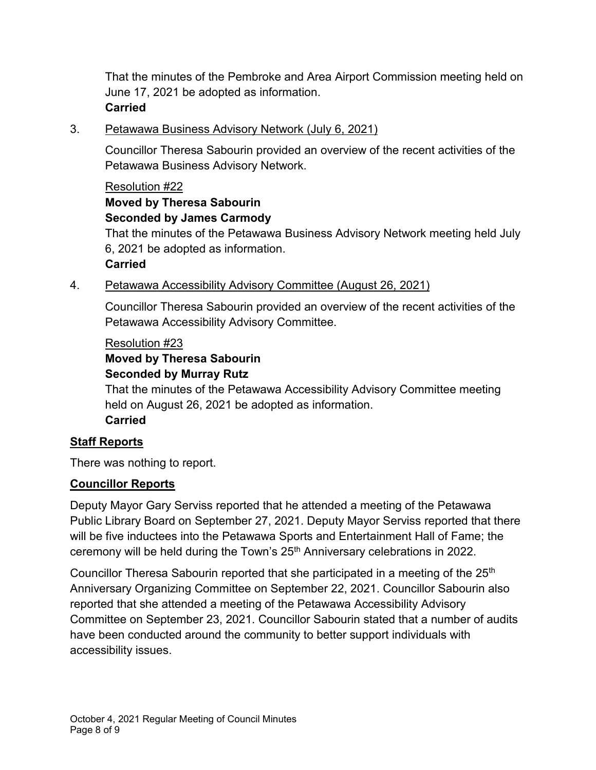That the minutes of the Pembroke and Area Airport Commission meeting held on June 17, 2021 be adopted as information. **Carried**

#### 3. Petawawa Business Advisory Network (July 6, 2021)

Councillor Theresa Sabourin provided an overview of the recent activities of the Petawawa Business Advisory Network.

#### Resolution #22

#### **Moved by Theresa Sabourin Seconded by James Carmody**

That the minutes of the Petawawa Business Advisory Network meeting held July 6, 2021 be adopted as information.

#### **Carried**

### 4. Petawawa Accessibility Advisory Committee (August 26, 2021)

Councillor Theresa Sabourin provided an overview of the recent activities of the Petawawa Accessibility Advisory Committee.

#### Resolution #23

### **Moved by Theresa Sabourin**

### **Seconded by Murray Rutz**

That the minutes of the Petawawa Accessibility Advisory Committee meeting held on August 26, 2021 be adopted as information. **Carried**

### **Staff Reports**

There was nothing to report.

### **Councillor Reports**

Deputy Mayor Gary Serviss reported that he attended a meeting of the Petawawa Public Library Board on September 27, 2021. Deputy Mayor Serviss reported that there will be five inductees into the Petawawa Sports and Entertainment Hall of Fame; the ceremony will be held during the Town's 25<sup>th</sup> Anniversary celebrations in 2022.

Councillor Theresa Sabourin reported that she participated in a meeting of the  $25<sup>th</sup>$ Anniversary Organizing Committee on September 22, 2021. Councillor Sabourin also reported that she attended a meeting of the Petawawa Accessibility Advisory Committee on September 23, 2021. Councillor Sabourin stated that a number of audits have been conducted around the community to better support individuals with accessibility issues.